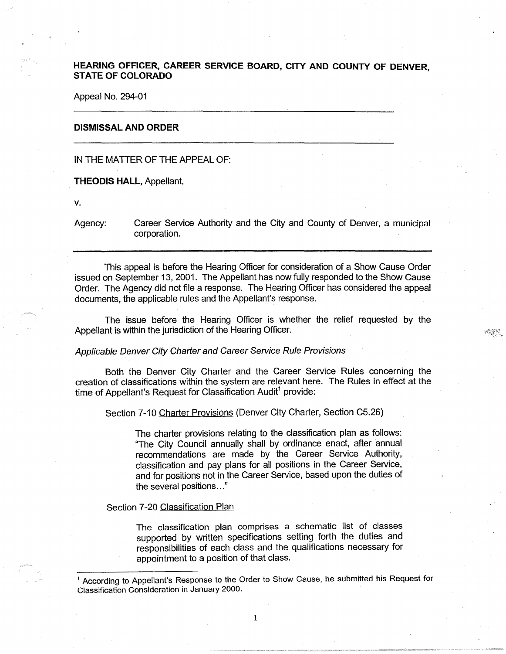# **HEARING OFFICER, CAREER SERVICE BOARD, CITY AND COUNTY OF DENVER STATE OF COLORADO** '

Appeal No. 294-01

## **DISMISSAL AND ORDER**

IN THE MATTER OF THE APPEAL OF:

**THEODIS HALL,** Appellant,

V.

Agency: Career Service Authority and the City and County of Denver, a municipal corporation.

 $\mathcal{A}^{\mathcal{G}}$  ,  $\mathcal{G}^{\mathcal{G}}$  ,

This appeal is before the Hearing Officer for consideration of a Show Cause Order issued on September 13, 2001. The Appellant has now fully responded to the Show Cause Order. The Agency did not file a response. The Hearing Officer has considered the appeal documents, the applicable rules and the Appellant's response.

The issue before the Hearing Officer is whether the relief requested by the Appellant is within the jurisdiction of the Hearing Officer.

#### Applicable Denver City Charter and Career Service Rule Provisions

Both the Denver City Charter and the Career Service Rules concerning the creation of classifications within the system are relevant here. The Rules in effect at the time of Appellant's Request for Classification Audit<sup>1</sup> provide:

Section 7-10 Charter Provisions (Denver City Charter, Section C5.26)

The charter provisions relating to the classification plan as follows: "The City Council annually shall by ordinance enact, after annual recommendations are made by the Career Service Authority, classification and pay plans for all positions in the Career Service, and for positions not in the Career Service, based upon the duties of the several positions ... "

## Section 7-20 Classification Plan

The classification plan comprises a schematic list of classes supported by written specifications setting forth the duties and responsibilities of each class and the qualifications necessary for appointment to a position of that class.

<sup>&</sup>lt;sup>1</sup> According to Appellant's Response to the Order to Show Cause, he submitted his Request for Classification Consideration in January 2000.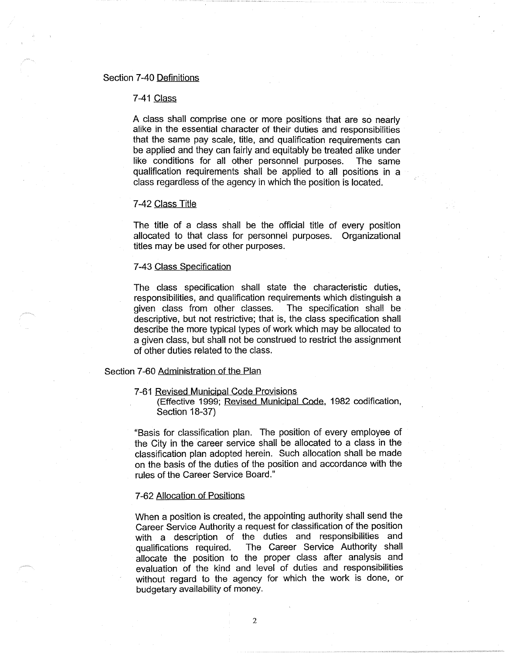# Section 7-40 Definitions

### 7-41 Class

A class shall comprise one or more positions that are so nearly alike in the essential character of their duties and responsibilities that the same pay scale, title, and qualification requirements can be applied and they can fairly and equitably be treated alike under like conditions for all other personnel purposes. The same qualification requirements shall be applied to all positions in a class regardless of the agency in which the position is located.

## 7 -42 Class Title

The title of a class shall be the official title of every position allocated to that class for personnel purposes. Organizational titles may be used for other purposes.

#### 7-43 Class Specification

The class specification shall state the characteristic duties, responsibilities, and qualification requirements which distinguish a given class from other classes. The specification shall be descriptive, but not restrictive; that is, the class specification shall describe the more typical types of work which may be allocated to a given class, but shall not be construed to restrict the assignment of other duties related to the class.

### Section 7-60 Administration of the Plan

7-61 Revised Municipal Code Provisions

(Effective 1999; Revised Municipal Code, 1982 codification, Section 18-37)

"Basis for classification plan. The position of every employee of the City in the career service shall be allocated to a class in the classification plan adopted herein. Such allocation shall be made on the basis of the duties of the position and accordance with the rules of the Career Service Board."

# 7-62 Allocation of Positions

When a position is created, the appointing authority shall send the Career Service Authority a request for classification of the position with a description of the duties and responsibilities and qualifications required. The Career Service Authority shall allocate the position to the proper class after analysis and evaluation of the kind and level of duties and responsibilities without regard to the agency for which the work is done, or budgetary availability of money.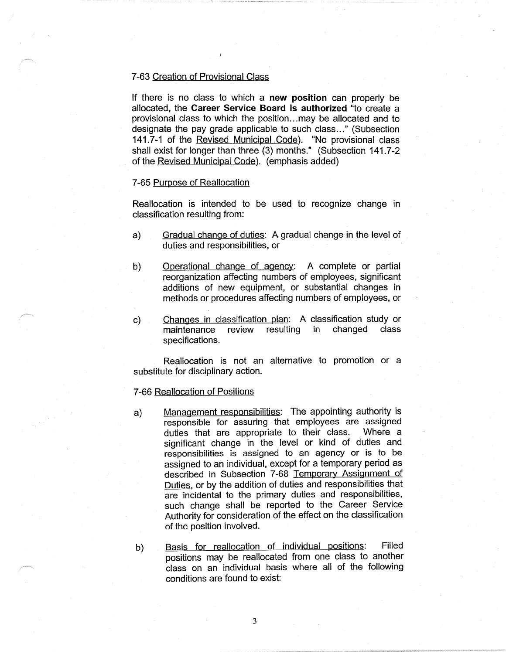## 7 -63 Creation of Provisional Class

If there is no class to which a **new position** can properly be allocated, the **Career Service Board is authorized** "to create a provisional class to which the position... may be allocated and to designate the pay grade applicable to such class..." (Subsection 141.7-1 of the Revised Municipal Code). "No provisional class shall exist for longer than three (3) months." (Subsection 141. 7-2 of the Revised Municipal Code). (emphasis added)

# 7 -65 Purpose of Reallocation

Reallocation is intended to be used to recognize change in classification resulting from:

- a) Gradual change of duties: A gradual change in the level of duties and responsibilities, or
- b) Operational change of agency: A complete or partial reorganization affecting numbers of employees, significant additions of new equipment, or substantial changes in methods or procedures affecting numbers of employees, or
- c) Changes in classification plan: A classification study or maintenance review resulting in changed class specifications.

Reallocation is not an alternative to promotion or a substitute for disciplinary action.

# 7-66 Reallocation of Positions

- a) Management responsibilities: The appointing authority is responsible for assuring that employees are assigned duties that are appropriate to their class. Where a significant change in the level or kind of duties and responsibilities is assigned to an agency or is to be assigned to an individual, except for a temporary period as described in Subsection 7-68 Temporary Assignment of Duties, or by the addition of duties and responsibilities that are incidental to the primary duties and responsibilities, such change shall be reported to the Career Service Authority for consideration of the effect on the classification of the position involved.
- b) Basis for reallocation of individual positions: Filled positions may be reallocated from one class to another class on an individual basis where all of the following conditions are found to exist: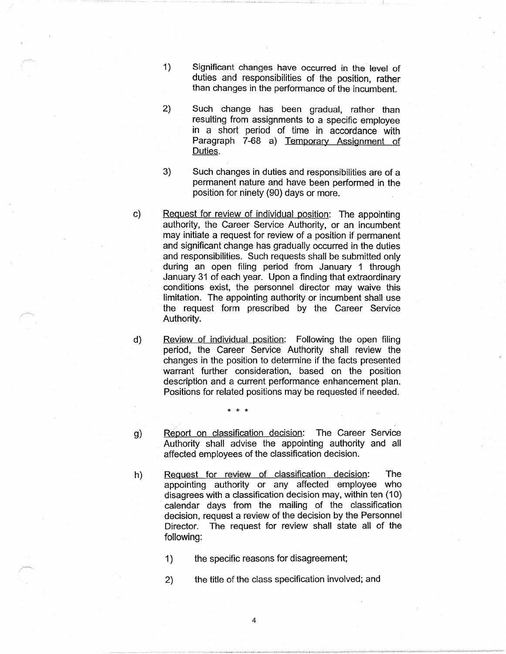- 1) Significant changes have occurred in the level of duties and responsibilities of the position, rather than changes in the performance of the incumbent.
- 2) Such change has been gradual, rather than resulting from assignments to a specific employee in a short period of time in accordance with Paragraph 7-68 a) Temporary Assignment of Duties.
- 3) Such changes in duties and responsibilities are of a permanent nature and have been performed in the position for ninety (90) days or more.
- Request for review of individual position: The appointing authority, the Career Service Authority, or an incumbent may initiate a request for review of a position if permanent and significant change has gradually occurred in the duties and responsibilities. Such requests shall be submitted only during an open filing period from January 1 through January 31 of each year. Upon a finding that extraordinary conditions exist, the personnel director may waive this limitation. The appointing authority or incumbent shall use the request form prescribed by the Career Service Authority.
- Review of individual position: Following the open filing period, the Career Service Authority shall review the changes in the position to determine if the facts presented warrant further consideration, based on the position description and a current performance enhancement plan. Positions for related positions may be requested if needed.

\* \* \*

- g) Report on classification decision: The Career Service Authority shall advise the appointing authority and all affected employees of the classification decision.
- h) Request for review of classification decision: The appointing authority or any affected employee who disagrees with a classification decision may, within ten (10) calendar days from the mailing of the classification decision, request a review of the decision by the Personnel Director. The request for review shall state all of the following:

1) the specific reasons for disagreement;

2) the title of the class specification involved; and

c)

d)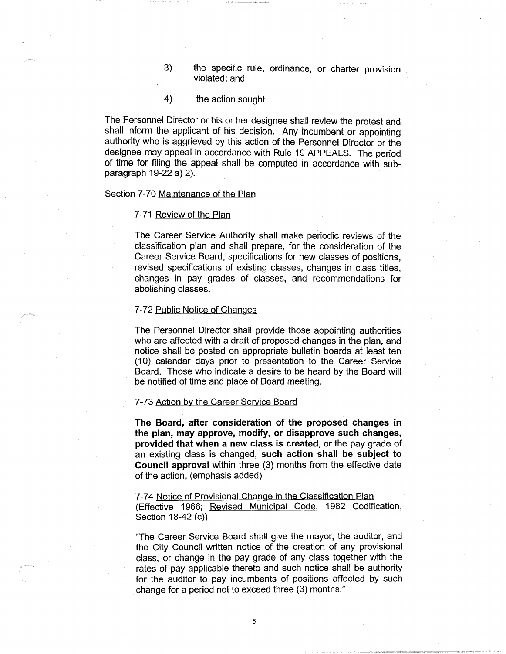- 3) the specific rule, ordinance, or charter provision violated; and
- 4) the action sought.

The Personnel Director or his or her designee shall review the protest and shall inform the applicant of his decision. Any incumbent or appointing authority who is aggrieved by this action of the Personnel Director or the designee may appeal in accordance with Rule 19 APPEALS. The period of time for filing the appeal shall be computed in accordance with subparagraph 19-22 a) 2).

## Section 7-70 Maintenance of the Plan

#### 7-71 Review of the Plan

The Career Service Authority shall make periodic reviews of the classification plan and shall prepare, for the consideration of the Career Service Board, specifications for new classes of positions, revised specifications of existing classes, changes in class titles, changes in pay grades of classes, and recommendations for abolishing classes.

### 7-72 Public Notice of Changes

The Personnel Director shall provide those appointing authorities who are affected with a draft of proposed changes in the plan, and notice shall be posted on appropriate bulletin boards at least ten (10) calendar days prior to presentation to the Career Service Board. Those who indicate a desire to be heard by the Board will be notified of time and place of Board meeting.

### 7-73 Action by the Career Service Board

**The Board, after consideration of the proposed changes in the plan, may approve, modify, or disapprove such changes, provided that when a new class is created,** or the pay grade of an existing class is changed, **such action shall be subject to Council approval** within three (3) months from the effective date of the action, (emphasis added)

7-74 Notice of Provisional Change in the Classification Plan (Effective 1966; Revised Municipal Code, 1982 Codification, Section 18-42 (c))

"The Career Service Board shall give the mayor, the auditor, and the City Council written notice of the creation of any provisional class, or change in the pay grade of any class together with the rates of pay applicable thereto and such notice shall be authority for the auditor to pay incumbents of positions affected by such change for a period not to exceed three (3) months."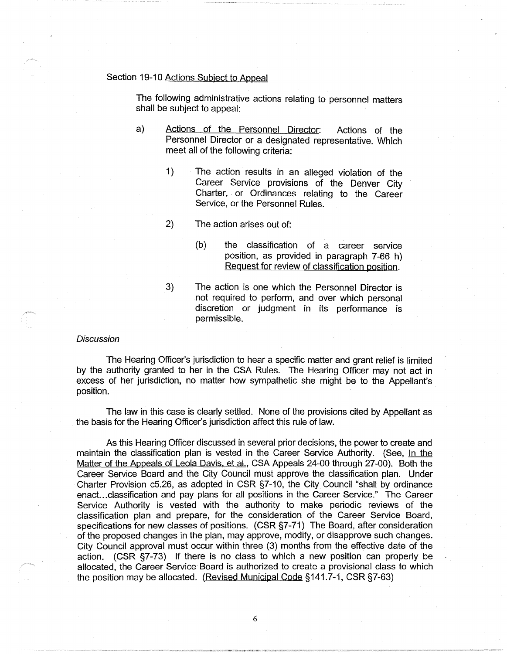# Section 19-10 Actions Subject to Appeal

The following administrative actions relating to personnel matters shall be subject to appeal:

- a) Actions of the Personnel Director: Actions of the Personnel Director or a designated representative. Which meet all of the following criteria:
	- 1) The action results in an alleged violation of the Career Service provisions of the Denver City Charter, or Ordinances relating to the Career Service, or the Personnel Rules.
	- 2) The action arises out of:
		- (b) the classification of a career service position, as provided in paragraph 7-66 h) Request for review of classification position.
	- 3) The action is one which the Personnel Director is not required to perform, and over which personal discretion or judgment in its performance is permissible.

## **Discussion**

The Hearing Officer's jurisdiction to hear a specific matter and grant relief is limited by the authority granted to her in the CSA Rules. The Hearing Officer may not act in excess of her jurisdiction, no matter how sympathetic she might be to the Appellant's position.

The law in this case is clearly settled. None of the provisions cited by Appellant as the basis for the Hearing Officer's jurisdiction affect this rule of law.

As this Hearing Officer discussed in several prior decisions, the power to create and maintain the classification plan is vested in the Career Service Authority. (See, In the Matter of the Appeals of Leola Davis, et al., CSA Appeals 24-00 through 27-00). Both the Career Service Board and the City Council must approve the classification plan. Under Charter Provision c5.26, as adopted in CSR §7-10, the City Council "shall by ordinance enact. .. classification and pay plans for all positions in the Career Service." The Career Service Authority is vested with the authority to make periodic reviews of the classification plan and prepare, for the consideration of the Career Service Board, specifications for new classes of positions. (CSR §7-71) The Board, after consideration of the proposed changes in the plan, may approve, modify, or disapprove such changes. City Council approval must occur within three (3) months from the effective date of the action. (CSR §7-73) If there is no class to which a new position can properly be allocated, the Career Service Board is authorized to create a provisional class to which the position may be allocated. (Revised Municipal Code §141.7-1, CSR §7-63)